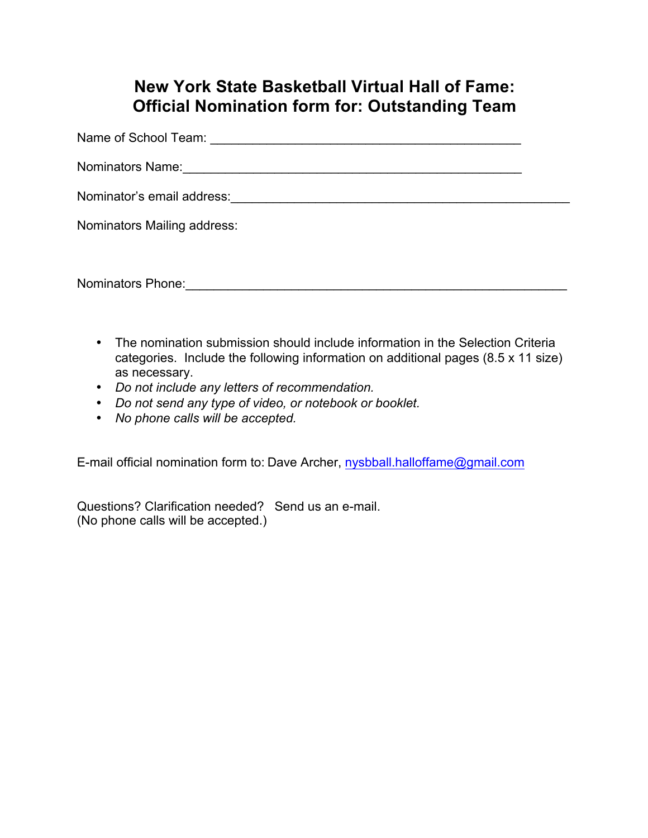## **New York State Basketball Virtual Hall of Fame: Official Nomination form for: Outstanding Team**

Name of School Team:  $\blacksquare$ 

Nominators Name:\_\_\_\_\_\_\_\_\_\_\_\_\_\_\_\_\_\_\_\_\_\_\_\_\_\_\_\_\_\_\_\_\_\_\_\_\_\_\_\_\_\_\_\_\_\_\_\_

Nominator's email address: example and the set of the set of the set of the set of the set of the set of the set of the set of the set of the set of the set of the set of the set of the set of the set of the set of the set

Nominators Mailing address:

Nominators Phone: example of the state of the state of the state of the state of the state of the state of the state of the state of the state of the state of the state of the state of the state of the state of the state o

- The nomination submission should include information in the Selection Criteria categories. Include the following information on additional pages (8.5 x 11 size) as necessary.
- *Do not include any letters of recommendation.*
- *Do not send any type of video, or notebook or booklet.*
- *No phone calls will be accepted.*

E-mail official nomination form to: Dave Archer, nysbball.halloffame@gmail.com

Questions? Clarification needed? Send us an e-mail. (No phone calls will be accepted.)